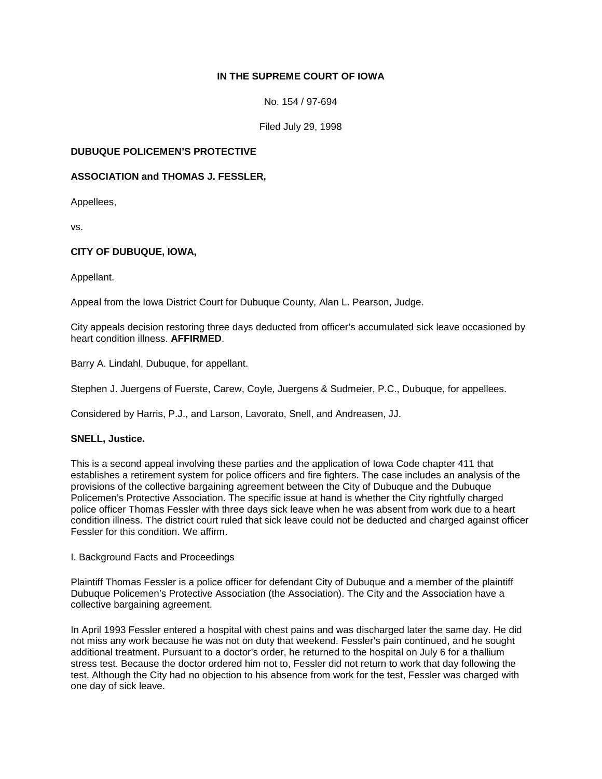# **IN THE SUPREME COURT OF IOWA**

No. 154 / 97-694

Filed July 29, 1998

## **DUBUQUE POLICEMEN'S PROTECTIVE**

### **ASSOCIATION and THOMAS J. FESSLER,**

Appellees,

vs.

## **CITY OF DUBUQUE, IOWA,**

Appellant.

Appeal from the Iowa District Court for Dubuque County, Alan L. Pearson, Judge.

City appeals decision restoring three days deducted from officer's accumulated sick leave occasioned by heart condition illness. **AFFIRMED**.

Barry A. Lindahl, Dubuque, for appellant.

Stephen J. Juergens of Fuerste, Carew, Coyle, Juergens & Sudmeier, P.C., Dubuque, for appellees.

Considered by Harris, P.J., and Larson, Lavorato, Snell, and Andreasen, JJ.

### **SNELL, Justice.**

This is a second appeal involving these parties and the application of Iowa Code chapter 411 that establishes a retirement system for police officers and fire fighters. The case includes an analysis of the provisions of the collective bargaining agreement between the City of Dubuque and the Dubuque Policemen's Protective Association. The specific issue at hand is whether the City rightfully charged police officer Thomas Fessler with three days sick leave when he was absent from work due to a heart condition illness. The district court ruled that sick leave could not be deducted and charged against officer Fessler for this condition. We affirm.

I. Background Facts and Proceedings

Plaintiff Thomas Fessler is a police officer for defendant City of Dubuque and a member of the plaintiff Dubuque Policemen's Protective Association (the Association). The City and the Association have a collective bargaining agreement.

In April 1993 Fessler entered a hospital with chest pains and was discharged later the same day. He did not miss any work because he was not on duty that weekend. Fessler's pain continued, and he sought additional treatment. Pursuant to a doctor's order, he returned to the hospital on July 6 for a thallium stress test. Because the doctor ordered him not to, Fessler did not return to work that day following the test. Although the City had no objection to his absence from work for the test, Fessler was charged with one day of sick leave.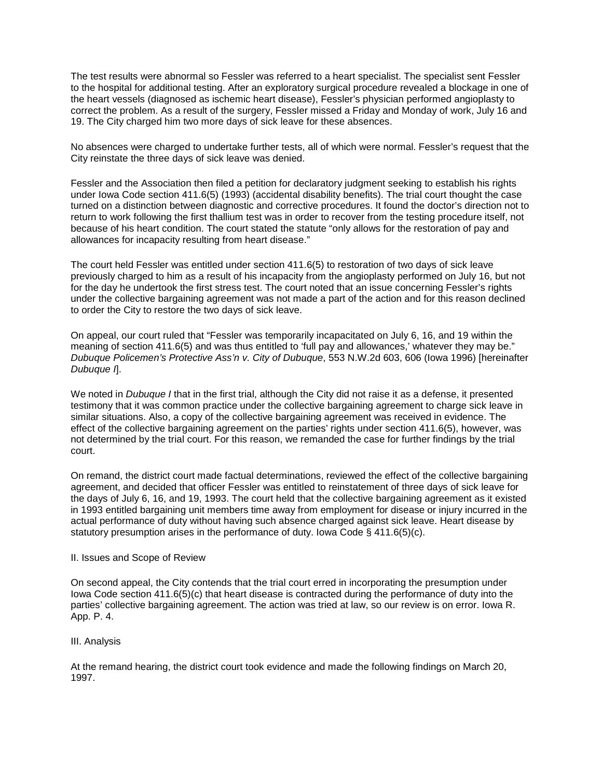The test results were abnormal so Fessler was referred to a heart specialist. The specialist sent Fessler to the hospital for additional testing. After an exploratory surgical procedure revealed a blockage in one of the heart vessels (diagnosed as ischemic heart disease), Fessler's physician performed angioplasty to correct the problem. As a result of the surgery, Fessler missed a Friday and Monday of work, July 16 and 19. The City charged him two more days of sick leave for these absences.

No absences were charged to undertake further tests, all of which were normal. Fessler's request that the City reinstate the three days of sick leave was denied.

Fessler and the Association then filed a petition for declaratory judgment seeking to establish his rights under Iowa Code section 411.6(5) (1993) (accidental disability benefits). The trial court thought the case turned on a distinction between diagnostic and corrective procedures. It found the doctor's direction not to return to work following the first thallium test was in order to recover from the testing procedure itself, not because of his heart condition. The court stated the statute "only allows for the restoration of pay and allowances for incapacity resulting from heart disease."

The court held Fessler was entitled under section 411.6(5) to restoration of two days of sick leave previously charged to him as a result of his incapacity from the angioplasty performed on July 16, but not for the day he undertook the first stress test. The court noted that an issue concerning Fessler's rights under the collective bargaining agreement was not made a part of the action and for this reason declined to order the City to restore the two days of sick leave.

On appeal, our court ruled that "Fessler was temporarily incapacitated on July 6, 16, and 19 within the meaning of section 411.6(5) and was thus entitled to 'full pay and allowances,' whatever they may be." *Dubuque Policemen's Protective Ass'n v. City of Dubuque*, 553 N.W.2d 603, 606 (Iowa 1996) [hereinafter *Dubuque I*].

We noted in *Dubuque I* that in the first trial, although the City did not raise it as a defense, it presented testimony that it was common practice under the collective bargaining agreement to charge sick leave in similar situations. Also, a copy of the collective bargaining agreement was received in evidence. The effect of the collective bargaining agreement on the parties' rights under section 411.6(5), however, was not determined by the trial court. For this reason, we remanded the case for further findings by the trial court.

On remand, the district court made factual determinations, reviewed the effect of the collective bargaining agreement, and decided that officer Fessler was entitled to reinstatement of three days of sick leave for the days of July 6, 16, and 19, 1993. The court held that the collective bargaining agreement as it existed in 1993 entitled bargaining unit members time away from employment for disease or injury incurred in the actual performance of duty without having such absence charged against sick leave. Heart disease by statutory presumption arises in the performance of duty. Iowa Code § 411.6(5)(c).

#### II. Issues and Scope of Review

On second appeal, the City contends that the trial court erred in incorporating the presumption under Iowa Code section 411.6(5)(c) that heart disease is contracted during the performance of duty into the parties' collective bargaining agreement. The action was tried at law, so our review is on error. Iowa R. App. P. 4.

### III. Analysis

At the remand hearing, the district court took evidence and made the following findings on March 20, 1997.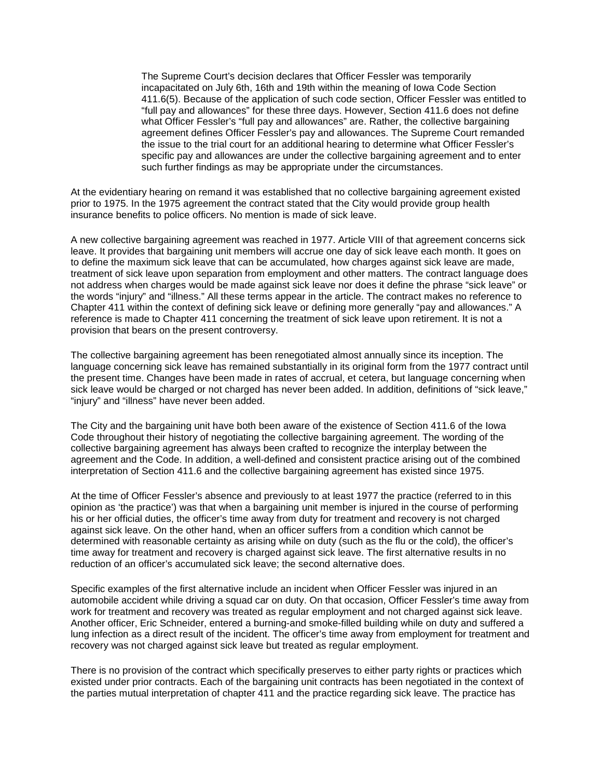The Supreme Court's decision declares that Officer Fessler was temporarily incapacitated on July 6th, 16th and 19th within the meaning of Iowa Code Section 411.6(5). Because of the application of such code section, Officer Fessler was entitled to "full pay and allowances" for these three days. However, Section 411.6 does not define what Officer Fessler's "full pay and allowances" are. Rather, the collective bargaining agreement defines Officer Fessler's pay and allowances. The Supreme Court remanded the issue to the trial court for an additional hearing to determine what Officer Fessler's specific pay and allowances are under the collective bargaining agreement and to enter such further findings as may be appropriate under the circumstances.

At the evidentiary hearing on remand it was established that no collective bargaining agreement existed prior to 1975. In the 1975 agreement the contract stated that the City would provide group health insurance benefits to police officers. No mention is made of sick leave.

A new collective bargaining agreement was reached in 1977. Article VIII of that agreement concerns sick leave. It provides that bargaining unit members will accrue one day of sick leave each month. It goes on to define the maximum sick leave that can be accumulated, how charges against sick leave are made, treatment of sick leave upon separation from employment and other matters. The contract language does not address when charges would be made against sick leave nor does it define the phrase "sick leave" or the words "injury" and "illness." All these terms appear in the article. The contract makes no reference to Chapter 411 within the context of defining sick leave or defining more generally "pay and allowances." A reference is made to Chapter 411 concerning the treatment of sick leave upon retirement. It is not a provision that bears on the present controversy.

The collective bargaining agreement has been renegotiated almost annually since its inception. The language concerning sick leave has remained substantially in its original form from the 1977 contract until the present time. Changes have been made in rates of accrual, et cetera, but language concerning when sick leave would be charged or not charged has never been added. In addition, definitions of "sick leave," "injury" and "illness" have never been added.

The City and the bargaining unit have both been aware of the existence of Section 411.6 of the Iowa Code throughout their history of negotiating the collective bargaining agreement. The wording of the collective bargaining agreement has always been crafted to recognize the interplay between the agreement and the Code. In addition, a well-defined and consistent practice arising out of the combined interpretation of Section 411.6 and the collective bargaining agreement has existed since 1975.

At the time of Officer Fessler's absence and previously to at least 1977 the practice (referred to in this opinion as 'the practice') was that when a bargaining unit member is injured in the course of performing his or her official duties, the officer's time away from duty for treatment and recovery is not charged against sick leave. On the other hand, when an officer suffers from a condition which cannot be determined with reasonable certainty as arising while on duty (such as the flu or the cold), the officer's time away for treatment and recovery is charged against sick leave. The first alternative results in no reduction of an officer's accumulated sick leave; the second alternative does.

Specific examples of the first alternative include an incident when Officer Fessler was injured in an automobile accident while driving a squad car on duty. On that occasion, Officer Fessler's time away from work for treatment and recovery was treated as regular employment and not charged against sick leave. Another officer, Eric Schneider, entered a burning-and smoke-filled building while on duty and suffered a lung infection as a direct result of the incident. The officer's time away from employment for treatment and recovery was not charged against sick leave but treated as regular employment.

There is no provision of the contract which specifically preserves to either party rights or practices which existed under prior contracts. Each of the bargaining unit contracts has been negotiated in the context of the parties mutual interpretation of chapter 411 and the practice regarding sick leave. The practice has